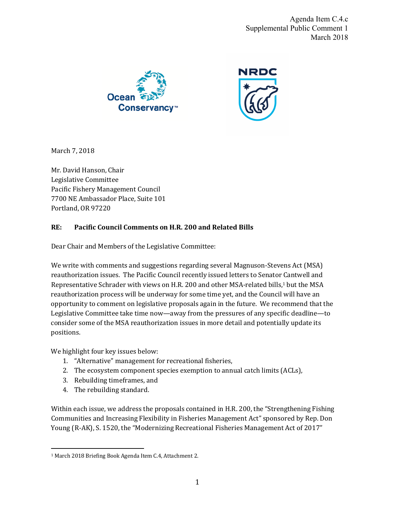Agenda Item C.4.c Supplemental Public Comment 1 March 2018





March 7, 2018

Mr. David Hanson, Chair Legislative Committee Pacific Fishery Management Council 7700 NE Ambassador Place, Suite 101 Portland, OR 97220

## **RE: Pacific Council Comments on H.R. 200 and Related Bills**

Dear Chair and Members of the Legislative Committee:

We write with comments and suggestions regarding several Magnuson-Stevens Act (MSA) reauthorization issues. The Pacific Council recently issued letters to Senator Cantwell and Representative Schrader with views on H.R. 200 and other MSA-related bills,<sup>1</sup> but the MSA reauthorization process will be underway for some time yet, and the Council will have an opportunity to comment on legislative proposals again in the future. We recommend that the Legislative Committee take time now—away from the pressures of any specific deadline—to consider some of the MSA reauthorization issues in more detail and potentially update its positions. 

We highlight four key issues below:

- 1. "Alternative" management for recreational fisheries,
- 2. The ecosystem component species exemption to annual catch limits (ACLs),
- 3. Rebuilding timeframes, and
- 4. The rebuilding standard.

 $\overline{a}$ 

Within each issue, we address the proposals contained in H.R. 200, the "Strengthening Fishing" Communities and Increasing Flexibility in Fisheries Management Act" sponsored by Rep. Don Young (R-AK), S. 1520, the "Modernizing Recreational Fisheries Management Act of 2017"

<sup>&</sup>lt;sup>1</sup> March 2018 Briefing Book Agenda Item C.4, Attachment 2.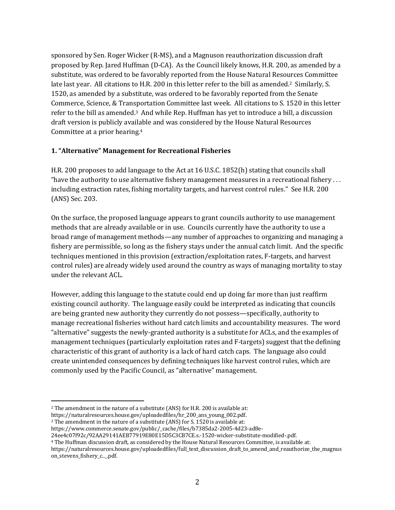sponsored by Sen. Roger Wicker (R-MS), and a Magnuson reauthorization discussion draft proposed by Rep. Jared Huffman (D-CA). As the Council likely knows, H.R. 200, as amended by a substitute, was ordered to be favorably reported from the House Natural Resources Committee late last year. All citations to H.R. 200 in this letter refer to the bill as amended.<sup>2</sup> Similarly, S. 1520, as amended by a substitute, was ordered to be favorably reported from the Senate Commerce, Science, & Transportation Committee last week. All citations to S. 1520 in this letter refer to the bill as amended.<sup>3</sup> And while Rep. Huffman has yet to introduce a bill, a discussion draft version is publicly available and was considered by the House Natural Resources Committee at a prior hearing.<sup>4</sup>

## **1. "Alternative" Management for Recreational Fisheries**

H.R. 200 proposes to add language to the Act at 16 U.S.C. 1852(h) stating that councils shall "have the authority to use alternative fishery management measures in a recreational fishery  $\dots$ including extraction rates, fishing mortality targets, and harvest control rules." See H.R. 200 (ANS) Sec. 203.

On the surface, the proposed language appears to grant councils authority to use management methods that are already available or in use. Councils currently have the authority to use a broad range of management methods—any number of approaches to organizing and managing a fishery are permissible, so long as the fishery stays under the annual catch limit. And the specific techniques mentioned in this provision (extraction/exploitation rates, F-targets, and harvest control rules) are already widely used around the country as ways of managing mortality to stay under the relevant ACL.

However, adding this language to the statute could end up doing far more than just reaffirm existing council authority. The language easily could be interpreted as indicating that councils are being granted new authority they currently do not possess—specifically, authority to manage recreational fisheries without hard catch limits and accountability measures. The word "alternative" suggests the newly-granted authority is a substitute for ACLs, and the examples of management techniques (particularly exploitation rates and F-targets) suggest that the defining characteristic of this grant of authority is a lack of hard catch caps. The language also could create unintended consequences by defining techniques like harvest control rules, which are commonly used by the Pacific Council, as "alternative" management.

 $\overline{a}$ 

 $2$  The amendment in the nature of a substitute (ANS) for H.R. 200 is available at:

https://naturalresources.house.gov/uploadedfiles/hr\_200\_ans\_young\_002.pdf.

<sup>&</sup>lt;sup>3</sup> The amendment in the nature of a substitute (ANS) for S. 1520 is available at:

https://www.commerce.senate.gov/public/\_cache/files/b7385da2-2005-4d23-ad8e-

<sup>24</sup>ee4c07f92c/92AA29141AEB77919E80E15D5C3CB7CE.s.-1520-wicker-substitute-modified-.pdf.

<sup>&</sup>lt;sup>4</sup> The Huffman discussion draft, as considered by the House Natural Resources Committee, is available at:

https://naturalresources.house.gov/uploadedfiles/full\_text\_discussion\_draft\_to\_amend\_and\_reauthorize\_the\_magnus on\_stevens\_fishery\_c..\_.pdf.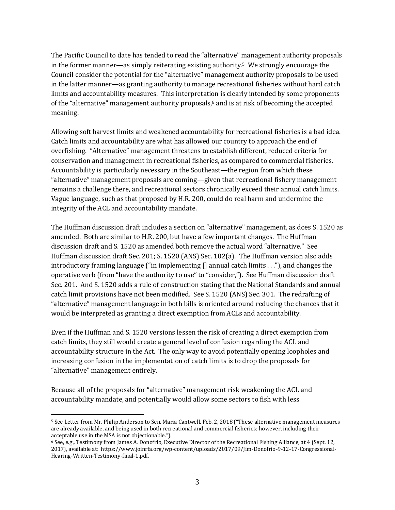The Pacific Council to date has tended to read the "alternative" management authority proposals in the former manner—as simply reiterating existing authority.<sup>5</sup> We strongly encourage the Council consider the potential for the "alternative" management authority proposals to be used in the latter manner—as granting authority to manage recreational fisheries without hard catch limits and accountability measures. This interpretation is clearly intended by some proponents of the "alternative" management authority proposals,<sup>6</sup> and is at risk of becoming the accepted meaning.

Allowing soft harvest limits and weakened accountability for recreational fisheries is a bad idea. Catch limits and accountability are what has allowed our country to approach the end of overfishing. "Alternative" management threatens to establish different, reduced criteria for conservation and management in recreational fisheries, as compared to commercial fisheries. Accountability is particularly necessary in the Southeast—the region from which these "alternative" management proposals are coming—given that recreational fishery management remains a challenge there, and recreational sectors chronically exceed their annual catch limits. Vague language, such as that proposed by H.R. 200, could do real harm and undermine the integrity of the ACL and accountability mandate.

The Huffman discussion draft includes a section on "alternative" management, as does S. 1520 as amended. Both are similar to H.R. 200, but have a few important changes. The Huffman discussion draft and S. 1520 as amended both remove the actual word "alternative." See Huffman discussion draft Sec. 201; S. 1520 (ANS) Sec. 102(a). The Huffman version also adds introductory framing language ("in implementing [] annual catch limits . . ."), and changes the operative verb (from "have the authority to use" to "consider,"). See Huffman discussion draft Sec. 201. And S. 1520 adds a rule of construction stating that the National Standards and annual catch limit provisions have not been modified. See S. 1520 (ANS) Sec. 301. The redrafting of "alternative" management language in both bills is oriented around reducing the chances that it would be interpreted as granting a direct exemption from ACLs and accountability.

Even if the Huffman and S. 1520 versions lessen the risk of creating a direct exemption from catch limits, they still would create a general level of confusion regarding the ACL and accountability structure in the Act. The only way to avoid potentially opening loopholes and increasing confusion in the implementation of catch limits is to drop the proposals for "alternative" management entirely.

Because all of the proposals for "alternative" management risk weakening the ACL and accountability mandate, and potentially would allow some sectors to fish with less

 $\overline{a}$ 

<sup>&</sup>lt;sup>5</sup> See Letter from Mr. Philip Anderson to Sen. Maria Cantwell, Feb. 2, 2018 ("These alternative management measures are already available, and being used in both recreational and commercial fisheries; however, including their acceptable use in the MSA is not objectionable.").

 $6$  See, e.g., Testimony from James A. Donofrio, Executive Director of the Recreational Fishing Alliance, at 4 (Sept. 12, 2017), available at: https://www.joinrfa.org/wp-content/uploads/2017/09/Jim-Donofrio-9-12-17-Congressional-Hearing-Written-Testimony-final-1.pdf.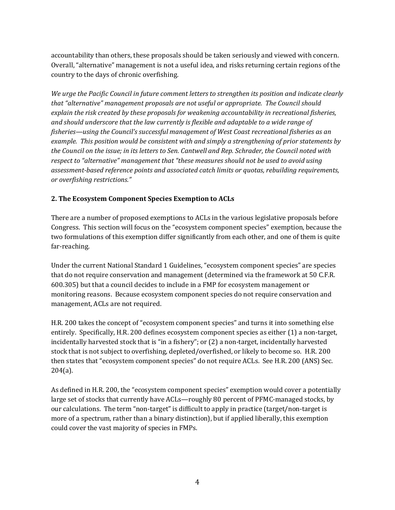accountability than others, these proposals should be taken seriously and viewed with concern. Overall, "alternative" management is not a useful idea, and risks returning certain regions of the country to the days of chronic overfishing.

*We* urge the Pacific Council in future comment letters to strengthen its position and indicate clearly *that "alternative"* management proposals are not useful or appropriate. The Council should explain the risk created by these proposals for weakening accountability in recreational fisheries, and should underscore that the law currently is flexible and adaptable to a wide range of *fisheries—using the Council's successful management of West Coast recreational fisheries as an example.* This position would be consistent with and simply a strengthening of prior statements by *the Council on the issue; in its letters to Sen. Cantwell and Rep. Schrader, the Council noted with respect* to "alternative" management that "these measures should not be used to avoid using assessment-based reference points and associated catch limits or quotas, rebuilding requirements, *or overfishing restrictions."*

## **2. The Ecosystem Component Species Exemption to ACLs**

There are a number of proposed exemptions to ACLs in the various legislative proposals before Congress. This section will focus on the "ecosystem component species" exemption, because the two formulations of this exemption differ significantly from each other, and one of them is quite far-reaching.

Under the current National Standard 1 Guidelines, "ecosystem component species" are species that do not require conservation and management (determined via the framework at 50 C.F.R. 600.305) but that a council decides to include in a FMP for ecosystem management or monitoring reasons. Because ecosystem component species do not require conservation and management, ACLs are not required.

H.R. 200 takes the concept of "ecosystem component species" and turns it into something else entirely. Specifically, H.R. 200 defines ecosystem component species as either (1) a non-target, incidentally harvested stock that is "in a fishery"; or  $(2)$  a non-target, incidentally harvested stock that is not subject to overfishing, depleted/overfished, or likely to become so. H.R. 200 then states that "ecosystem component species" do not require ACLs. See H.R. 200 (ANS) Sec. 204(a).

As defined in H.R. 200, the "ecosystem component species" exemption would cover a potentially large set of stocks that currently have ACLs—roughly 80 percent of PFMC-managed stocks, by our calculations. The term "non-target" is difficult to apply in practice (target/non-target is more of a spectrum, rather than a binary distinction), but if applied liberally, this exemption could cover the vast majority of species in FMPs.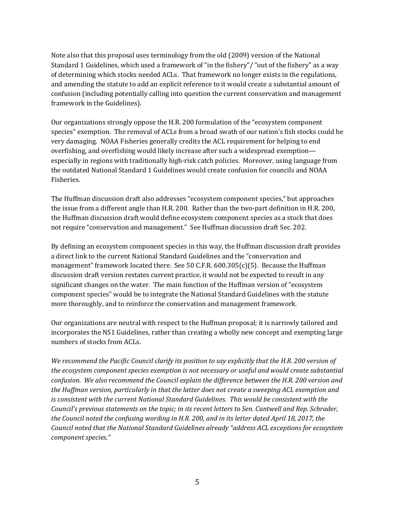Note also that this proposal uses terminology from the old (2009) version of the National Standard 1 Guidelines, which used a framework of "in the fishery"/ "out of the fishery" as a way of determining which stocks needed ACLs. That framework no longer exists in the regulations, and amending the statute to add an explicit reference to it would create a substantial amount of confusion (including potentially calling into question the current conservation and management framework in the Guidelines).

Our organizations strongly oppose the H.R. 200 formulation of the "ecosystem component" species" exemption. The removal of ACLs from a broad swath of our nation's fish stocks could be very damaging. NOAA Fisheries generally credits the ACL requirement for helping to end overfishing, and overfishing would likely increase after such a widespread exemption especially in regions with traditionally high-risk catch policies. Moreover, using language from the outdated National Standard 1 Guidelines would create confusion for councils and NOAA Fisheries.

The Huffman discussion draft also addresses "ecosystem component species," but approaches the issue from a different angle than H.R. 200. Rather than the two-part definition in H.R. 200, the Huffman discussion draft would define ecosystem component species as a stock that does not require "conservation and management." See Huffman discussion draft Sec. 202.

By defining an ecosystem component species in this way, the Huffman discussion draft provides a direct link to the current National Standard Guidelines and the "conservation and management" framework located there. See 50 C.F.R.  $600.305(c)(5)$ . Because the Huffman discussion draft version restates current practice, it would not be expected to result in any significant changes on the water. The main function of the Huffman version of "ecosystem component species" would be to integrate the National Standard Guidelines with the statute more thoroughly, and to reinforce the conservation and management framework.

Our organizations are neutral with respect to the Huffman proposal; it is narrowly tailored and incorporates the NS1 Guidelines, rather than creating a wholly new concept and exempting large numbers of stocks from ACLs.

*We recommend the Pacific Council clarify its position to say explicitly that the H.R. 200 version of the ecosystem component species exemption is not necessary or useful and would create substantial* confusion. We also recommend the Council explain the difference between the H.R. 200 version and the Huffman version, particularly in that the latter does not create a sweeping ACL exemption and *is* consistent with the current National Standard Guidelines. This would be consistent with the *Council's previous statements on the topic; in its recent letters to Sen. Cantwell and Rep. Schrader, the Council noted the confusing wording in H.R. 200, and in its letter dated April 18, 2017, the* Council noted that the National Standard Guidelines already "address ACL exceptions for ecosystem *component species."*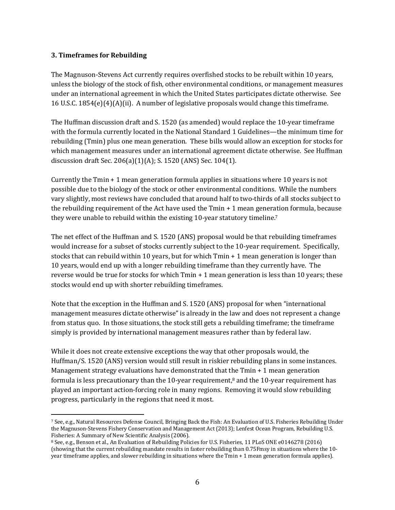#### **3. Timeframes for Rebuilding**

The Magnuson-Stevens Act currently requires overfished stocks to be rebuilt within 10 years, unless the biology of the stock of fish, other environmental conditions, or management measures under an international agreement in which the United States participates dictate otherwise. See 16 U.S.C.  $1854(e)(4)(A)(ii)$ . A number of legislative proposals would change this timeframe.

The Huffman discussion draft and S. 1520 (as amended) would replace the 10-year timeframe with the formula currently located in the National Standard 1 Guidelines—the minimum time for rebuilding (Tmin) plus one mean generation. These bills would allow an exception for stocks for which management measures under an international agreement dictate otherwise. See Huffman discussion draft Sec.  $206(a)(1)(A)$ ; S. 1520 (ANS) Sec. 104(1).

Currently the Tmin  $+1$  mean generation formula applies in situations where 10 years is not possible due to the biology of the stock or other environmental conditions. While the numbers vary slightly, most reviews have concluded that around half to two-thirds of all stocks subject to the rebuilding requirement of the Act have used the  $Tmin + 1$  mean generation formula, because they were unable to rebuild within the existing 10-year statutory timeline.<sup>7</sup>

The net effect of the Huffman and S. 1520 (ANS) proposal would be that rebuilding timeframes would increase for a subset of stocks currently subject to the 10-year requirement. Specifically, stocks that can rebuild within 10 years, but for which  $T_{min} + 1$  mean generation is longer than 10 years, would end up with a longer rebuilding timeframe than they currently have. The reverse would be true for stocks for which  $Tmin + 1$  mean generation is less than 10 years; these stocks would end up with shorter rebuilding timeframes.

Note that the exception in the Huffman and S. 1520 (ANS) proposal for when "international management measures dictate otherwise" is already in the law and does not represent a change from status quo. In those situations, the stock still gets a rebuilding timeframe; the timeframe simply is provided by international management measures rather than by federal law.

While it does not create extensive exceptions the way that other proposals would, the Huffman/S. 1520 (ANS) version would still result in riskier rebuilding plans in some instances. Management strategy evaluations have demonstrated that the  $T_{\text{min}} + 1$  mean generation formula is less precautionary than the 10-year requirement,<sup>8</sup> and the 10-year requirement has played an important action-forcing role in many regions. Removing it would slow rebuilding progress, particularly in the regions that need it most.

 $\overline{a}$ 7 See, e.g., Natural Resources Defense Council, Bringing Back the Fish: An Evaluation of U.S. Fisheries Rebuilding Under the Magnuson-Stevens Fishery Conservation and Management Act (2013); Lenfest Ocean Program, Rebuilding U.S. Fisheries: A Summary of New Scientific Analysis (2006).

<sup>8</sup> See, e.g., Benson et al., An Evaluation of Rebuilding Policies for U.S. Fisheries, 11 PLoS ONE e0146278 (2016) (showing that the current rebuilding mandate results in faster rebuilding than 0.75Fmsy in situations where the 10year timeframe applies, and slower rebuilding in situations where the Tmin + 1 mean generation formula applies).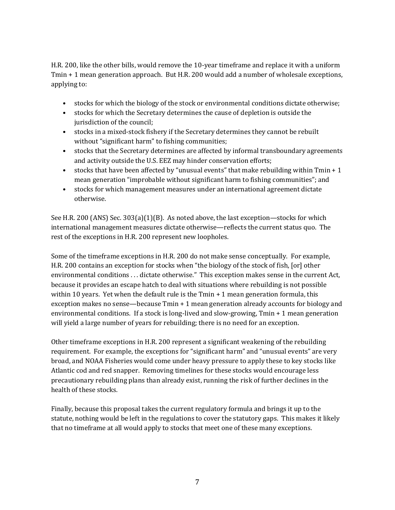H.R. 200, like the other bills, would remove the 10-year timeframe and replace it with a uniform Tmin  $+$  1 mean generation approach. But H.R. 200 would add a number of wholesale exceptions, applying to:

- stocks for which the biology of the stock or environmental conditions dictate otherwise;
- stocks for which the Secretary determines the cause of depletion is outside the jurisdiction of the council;
- stocks in a mixed-stock fishery if the Secretary determines they cannot be rebuilt without "significant harm" to fishing communities;
- stocks that the Secretary determines are affected by informal transboundary agreements and activity outside the U.S. EEZ may hinder conservation efforts;
- stocks that have been affected by "unusual events" that make rebuilding within  $Tmin + 1$ mean generation "improbable without significant harm to fishing communities"; and
- stocks for which management measures under an international agreement dictate otherwise.

See H.R. 200 (ANS) Sec.  $303(a)(1)(B)$ . As noted above, the last exception—stocks for which international management measures dictate otherwise—reflects the current status quo. The rest of the exceptions in H.R. 200 represent new loopholes.

Some of the timeframe exceptions in H.R. 200 do not make sense conceptually. For example, H.R. 200 contains an exception for stocks when "the biology of the stock of fish, [or] other environmental conditions ... dictate otherwise." This exception makes sense in the current Act, because it provides an escape hatch to deal with situations where rebuilding is not possible within 10 years. Yet when the default rule is the  $Tmin + 1$  mean generation formula, this exception makes no sense—because  $Tmin + 1$  mean generation already accounts for biology and environmental conditions. If a stock is long-lived and slow-growing,  $Tmin + 1$  mean generation will yield a large number of years for rebuilding; there is no need for an exception.

Other timeframe exceptions in H.R. 200 represent a significant weakening of the rebuilding requirement. For example, the exceptions for "significant harm" and "unusual events" are very broad, and NOAA Fisheries would come under heavy pressure to apply these to key stocks like Atlantic cod and red snapper. Removing timelines for these stocks would encourage less precautionary rebuilding plans than already exist, running the risk of further declines in the health of these stocks.

Finally, because this proposal takes the current regulatory formula and brings it up to the statute, nothing would be left in the regulations to cover the statutory gaps. This makes it likely that no timeframe at all would apply to stocks that meet one of these many exceptions.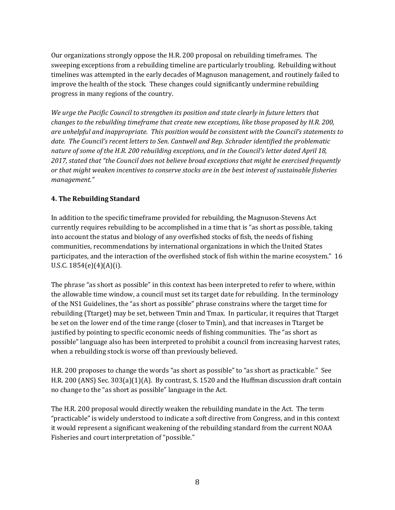Our organizations strongly oppose the H.R. 200 proposal on rebuilding timeframes. The sweeping exceptions from a rebuilding timeline are particularly troubling. Rebuilding without timelines was attempted in the early decades of Magnuson management, and routinely failed to improve the health of the stock. These changes could significantly undermine rebuilding progress in many regions of the country.

We urge the Pacific Council to strengthen its position and state clearly in future letters that *changes to the rebuilding timeframe that create new exceptions, like those proposed by H.R. 200, are unhelpful and inappropriate. This position would be consistent with the Council's statements to* date. The Council's recent letters to Sen. Cantwell and Rep. Schrader identified the problematic nature of some of the H.R. 200 rebuilding exceptions, and in the Council's letter dated April 18, 2017, stated that "the Council does not believe broad exceptions that might be exercised frequently or that might weaken incentives to conserve stocks are in the best interest of sustainable fisheries *management."*

# **4. The Rebuilding Standard**

In addition to the specific timeframe provided for rebuilding, the Magnuson-Stevens Act currently requires rebuilding to be accomplished in a time that is "as short as possible, taking into account the status and biology of any overfished stocks of fish, the needs of fishing communities, recommendations by international organizations in which the United States participates, and the interaction of the overfished stock of fish within the marine ecosystem." 16 U.S.C.  $1854(e)(4)(A)(i)$ .

The phrase "as short as possible" in this context has been interpreted to refer to where, within the allowable time window, a council must set its target date for rebuilding. In the terminology of the NS1 Guidelines, the "as short as possible" phrase constrains where the target time for rebuilding (Ttarget) may be set, between Tmin and Tmax. In particular, it requires that Ttarget be set on the lower end of the time range (closer to Tmin), and that increases in Ttarget be justified by pointing to specific economic needs of fishing communities. The "as short as possible" language also has been interpreted to prohibit a council from increasing harvest rates, when a rebuilding stock is worse off than previously believed.

H.R. 200 proposes to change the words "as short as possible" to "as short as practicable." See H.R. 200 (ANS) Sec.  $303(a)(1)(A)$ . By contrast, S. 1520 and the Huffman discussion draft contain no change to the "as short as possible" language in the Act.

The H.R. 200 proposal would directly weaken the rebuilding mandate in the Act. The term "practicable" is widely understood to indicate a soft directive from Congress, and in this context it would represent a significant weakening of the rebuilding standard from the current NOAA Fisheries and court interpretation of "possible."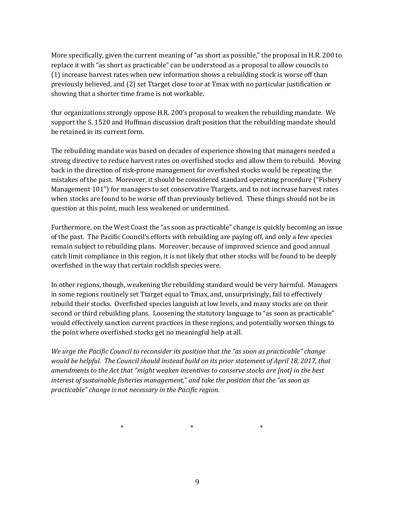More specifically, given the current meaning of "as short as possible," the proposal in H.R. 200 to replace it with "as short as practicable" can be understood as a proposal to allow councils to  $(1)$  increase harvest rates when new information shows a rebuilding stock is worse off than previously believed, and (2) set Ttarget close to or at Tmax with no particular justification or showing that a shorter time frame is not workable.

Our organizations strongly oppose H.R. 200's proposal to weaken the rebuilding mandate. We support the S. 1520 and Huffman discussion draft position that the rebuilding mandate should be retained in its current form.

The rebuilding mandate was based on decades of experience showing that managers needed a strong directive to reduce harvest rates on overfished stocks and allow them to rebuild. Moving back in the direction of risk-prone management for overfished stocks would be repeating the mistakes of the past. Moreover, it should be considered standard operating procedure ("Fishery") Management 101") for managers to set conservative Ttargets, and to not increase harvest rates when stocks are found to be worse off than previously believed. These things should not be in question at this point, much less weakened or undermined.

Furthermore, on the West Coast the "as soon as practicable" change is quickly becoming an issue of the past. The Pacific Council's efforts with rebuilding are paying off, and only a few species remain subject to rebuilding plans. Moreover, because of improved science and good annual catch limit compliance in this region, it is not likely that other stocks will be found to be deeply overfished in the way that certain rockfish species were.

In other regions, though, weakening the rebuilding standard would be very harmful. Managers in some regions routinely set Ttarget equal to Tmax, and, unsurprisingly, fail to effectively rebuild their stocks. Overfished species languish at low levels, and many stocks are on their second or third rebuilding plans. Loosening the statutory language to "as soon as practicable" would effectively sanction current practices in these regions, and potentially worsen things to the point where overfished stocks get no meaningful help at all.

*We* urge the Pacific Council to reconsider its position that the "as soon as practicable" change would be helpful. The Council should instead build on its prior statement of April 18, 2017, that *amendments to the Act that "might weaken incentives to conserve stocks are [not] in the best interest of sustainable fisheries management,"* and take the position that the "as soon as *practicable" change is not necessary in the Pacific region.* 

 $*$  \* \* \* \* \*